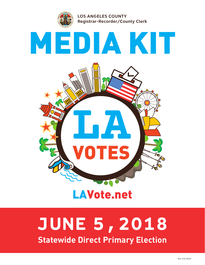

# **JUNE 5,2018**

**Statewide Direct Primary Election**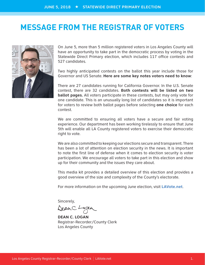### **MESSAGE FROM THE REGISTRAR OF VOTERS**



On June 5, more than 5 million registered voters in Los Angeles County will have an opportunity to take part in the democratic process by voting in the Statewide Direct Primary election, which includes 117 office contests and 527 candidates.

Two highly anticipated contests on the ballot this year include those for Governor and US Senate. **Here are some key notes voters need to know**:

There are 27 candidates running for California Governor. In the U.S. Senate contest, there are 32 candidates. **Both contests will be listed on two ballot pages.** All voters participate in these contests, but may only vote for one candidate. This is an unusually long list of candidates so it is important for voters to review both ballot pages before selecting **one choice** for each contest.

We are committed to ensuring all voters have a secure and fair voting experience. Our department has been working tirelessly to ensure that June 5th will enable all LA County registered voters to exercise their democratic right to vote.

We are also committed to keeping our elections secure and transparent. There has been a lot of attention on election security in the news. It is important to note the first line of defense when it comes to election security is voter participation. We encourage all voters to take part in this election and show up for their community and the issues they care about.

This media kit provides a detailed overview of this election and provides a good overview of the size and complexity of the County's electorate.

For more information on the upcoming June election, visit **LAVote.net**.

Sincerely,

DeanC. Logan

**DEAN C. LOGAN** Registrar-Recorder/County Clerk Los Angeles County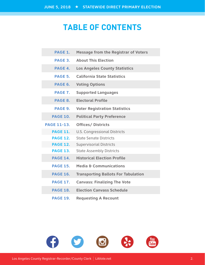# **TABLE OF CONTENTS**

| PAGE 1.            | <b>Message from the Registrar of Voters</b> |
|--------------------|---------------------------------------------|
| PAGE 3.            | <b>About This Election</b>                  |
| PAGE 4.            | <b>Los Angeles County Statistics</b>        |
| PAGE 5.            | <b>California State Statistics</b>          |
| PAGE 6.            | <b>Voting Options</b>                       |
| PAGE 7.            | <b>Supported Languages</b>                  |
| PAGE 8.            | <b>Electoral Profile</b>                    |
| PAGE 9.            | <b>Voter Registration Statistics</b>        |
| <b>PAGE 10.</b>    | <b>Political Party Preference</b>           |
| <b>PAGE 11-13.</b> | <b>Offices/ Districts</b>                   |
| <b>PAGE 11.</b>    | <b>U.S. Congressional Districts</b>         |
| <b>PAGE 12.</b>    | <b>State Senate Districts</b>               |
| <b>PAGE 12.</b>    | <b>Supervisorial Districts</b>              |
| <b>PAGE 13.</b>    | <b>State Assembly Districts</b>             |
| <b>PAGE 14.</b>    | <b>Historical Election Profile</b>          |
| <b>PAGE 15.</b>    | <b>Media &amp; Communications</b>           |
| <b>PAGE 16.</b>    | <b>Transporting Ballots For Tabulation</b>  |
| <b>PAGE 17.</b>    | <b>Canvass: Finalizing The Vote</b>         |
| <b>PAGE 18.</b>    | <b>Election Canvass Schedule</b>            |
| <b>PAGE 19.</b>    | <b>Requesting A Recount</b>                 |

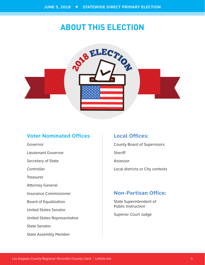# **ABOUT THIS ELECTION**



### **Voter Nominated Offices**

Governor Lieutenant Governor Secretary of State Controller Treasurer Attorney General Insurance Commissioner Board of Equalization United States Senator United States Representative State Senator State Assembly Member

#### **Local Offices:**

County Board of Supervisors **Sheriff** Assessor Local districts or City contests

### **Non-Partisan Office:**

State Superintendent of Public Instruction

Superior Court Judge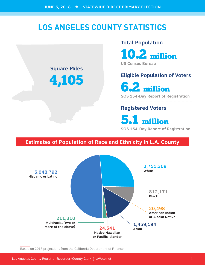# **LOS ANGELES COUNTY STATISTICS**

### **Square Miles**

4,105

#### **Total Population**

10.2 million

**US Census Bureau**

### **Eligible Population of Voters**

6.2 million

**SOS 154-Day Report of Registration**

### **Registered Voters**

5.1 million

**SOS 154-Day Report of Registration**

### **Estimates of Population of Race and Ethnicity in L.A. County**



Based on 2018 projections from the California Department of Finance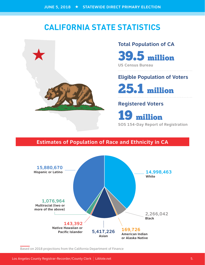# **CALIFORNIA STATE STATISTICS**



# **Total Population of CA**  39.5 million

**US Census Bureau**

### **Eligible Population of Voters**

25.1 million

### **Registered Voters**

19 million **SOS 154-Day Report of Registration**

### **Estimates of Population of Race and Ethnicity in CA**



Based on 2018 projections from the California Department of Finance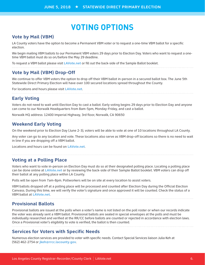# **VOTING OPTIONS**

#### **Vote by Mail (VBM)**

LA County voters have the option to become a Permanent VBM voter or to request a one-time VBM ballot for a specific election.

We begin mailing VBM ballots to our Permanent VBM voters 29 days prior to Election Day. Voters who want to request a onetime VBM ballot must do so on/before the May 29 deadline.

To request a VBM ballot please visit **LAVote.net** or fill out the back-side of the Sample Ballot booklet.

#### **Vote by Mail (VBM) Drop-Off**

We continue to offer VBM voters the option to drop off their VBM ballot in-person in a secured ballot box. The June 5th Statewide Direct Primary Election will have over 100 secured locations spread throughout the County.

For locations and hours please visit **LAVote.net**.

#### **Early Voting**

Voters do not need to wait until Election Day to cast a ballot. Early voting begins 29 days prior to Election Day and anyone can come to our Norwalk Headquarters from 8am-5pm, Monday-Friday, and cast a ballot.

Norwalk HQ address: 12400 Imperial Highway, 3rd floor, Norwalk, CA 90650

#### **Weekend Early Voting**

On the weekend prior to Election Day (June 2-3), voters will be able to vote at one of 10 locations throughout LA County.

Any voter can go to any location and vote. These locations also serve as VBM drop-off locations so there is no need to wait in line if you are dropping off a VBM ballot.

Locations and hours can be found on **LAVote.net**.

#### **Voting at a Polling Place**

Voters who want to vote in-person on Election Day must do so at their designated polling place. Locating a polling place can be done online at **LAVote.net** or by reviewing the back-side of their Sample Ballot booklet. VBM voters can drop off their ballot at any polling place within LA County.

Polls will be open from 7am-8pm. Pollworkers will be on site at every location to assist voters.

VBM ballots dropped off at a polling place will be processed and counted after Election Day during the Official Election Canvass. During this time, we will verify the voter's signature and once approved it will be counted. Check the status of a VBM ballot at **LAVote.net**.

#### **Provisional Ballots**

Provisional ballots are issued at the polls when a voter's name is not listed on the poll roster or when our records indicate the voter was already sent a VBM ballot. Provisional ballots are sealed in special envelopes at the polls and must be individually researched and verified at the RR/CC before ballots are counted or rejected in accordance with election laws. Once a Provisional voter's eligibility to vote is verified, the ballot is then counted.

#### **Services for Voters with Specific Needs**

Numerous election services are provided to voter with specific needs. Contact Special Services liaison Julia Keh at (562) 462-2754 or **jkeh@rrcc.lacounty.gov**.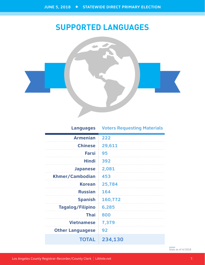# **SUPPORTED LANGUAGES**



### **Languages Voters Requesting Materials**

| <b>Armenian</b>         | 222     |
|-------------------------|---------|
| <b>Chinese</b>          | 29,611  |
| <b>Farsi</b>            | 95      |
| <b>Hindi</b>            | 392     |
| <b>Japanese</b>         | 2,081   |
| Khmer/Cambodian         | 453     |
| <b>Korean</b>           | 25,784  |
| <b>Russian</b>          | 164     |
| <b>Spanish</b>          | 160,772 |
| <b>Tagalog/Filipino</b> | 6,285   |
| <b>Thai</b>             | 800     |
| <b>Vietnamese</b>       | 7,379   |
| <b>Other Languagese</b> | 92      |
| <b>TOTAL</b>            | 234,130 |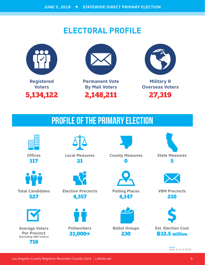# **ELECTORAL PROFILE**





**Permanent Vote By Mail Voters** 2,148,211



**Military & Overseas Voters** 27,319

# PROFILE OF THE PRIMARY ELECTION



**Offices** 117



**Total Candidates** 527



**Average Voters Per Precinct (Excluding VBM voters)** 716



**Local Measures** 21



**Election Precincts** 4,357



21,000+

4,147



**Polling Places**

**County Measures** 0

> **Ballot Groups** 230



**VBM Precincts** 210



**Est. Election Cost** \$32.5 million

Los Angeles County Registrar-Recorder/County Clerk | LAVote.net 8. [19] Contract 8. [19] Angeles County Registrar-Recorder/County Clerk | LAVote.net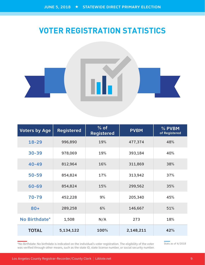# **VOTER REGISTRATION STATISTICS**



| <b>Voters by Age</b> | <b>Registered</b> | $%$ of<br><b>Registered</b> | <b>PVBM</b> | % PVBM<br>of Registered |
|----------------------|-------------------|-----------------------------|-------------|-------------------------|
| $18 - 29$            | 996,890           | 19%                         | 477,374     | 48%                     |
| $30 - 39$            | 978,069           | 19%                         | 393,184     | 40%                     |
| $40 - 49$            | 812,964           | 16%                         | 311,869     | 38%                     |
| $50 - 59$            | 854,824           | 17%                         | 313,942     | 37%                     |
| 60-69                | 854,824           | 15%                         | 299,562     | 35%                     |
| 70-79                | 452,228           | 9%                          | 205,340     | 45%                     |
| $80+$                | 289,258           | 6%                          | 146,667     | 51%                     |
| No Birthdate*        | 1,508             | N/A                         | 273         | 18%                     |
| <b>TOTAL</b>         | 5,134,122         | 100%                        | 2,148,211   | 42%                     |

\*No Birthdate: No birthdate is indicated on the individual's voter registration. The eligibility of the voter was verified through other means, such as the state ID, state license number, or social security number.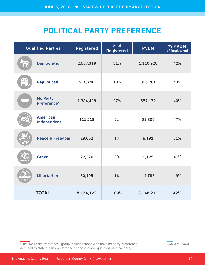# **POLITICAL PARTY PREFERENCE**

|             | <b>Qualified Parties</b>       | Registered | $%$ of<br><b>Registered</b> | <b>PVBM</b> | % PVBM<br>of Registered |
|-------------|--------------------------------|------------|-----------------------------|-------------|-------------------------|
|             | <b>Democratic</b>              | 2,637,319  | 51%                         | 1,110,928   | 42%                     |
| ***         | <b>Republican</b>              | 918,740    | 18%                         | 395,201     | 43%                     |
| <b>NONE</b> | <b>No Party</b><br>Preference* | 1,384,408  | 27%                         | 557,172     | 40%                     |
|             | <b>American</b><br>Independent | 111,218    | 2%                          | 51,806      | 47%                     |
|             | Peace & Freedom                | 29,662     | 1%                          | 9,191       | 31%                     |
|             | <b>Green</b>                   | 22,370     | 0%                          | 9,125       | 41%                     |
|             | <b>Libertarian</b>             | 30,405     | $1\%$                       | 14,788      | 49%                     |
|             | <b>TOTAL</b>                   | 5,134,122  | 100%                        | 2,148,211   | 42%                     |

\*The "No Party Preference" group includes those who have no party preference, declined to state a party preference or chose a non-qualified political party.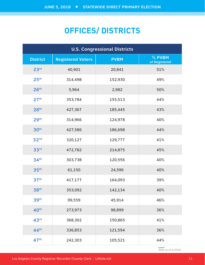# **OFFICES/ DISTRICTS**

| <b>U.S. Congressional Districts</b> |                          |             |                         |  |
|-------------------------------------|--------------------------|-------------|-------------------------|--|
| <b>District</b>                     | <b>Registered Voters</b> | <b>PVBM</b> | % PVBM<br>of Registered |  |
| 23 <sup>rd</sup>                    | 40,901                   | 20,841      | 51%                     |  |
| 25 <sup>th</sup>                    | 314,498                  | 152,930     | 49%                     |  |
| 26 <sup>th</sup>                    | 5,964                    | 2,982       | 50%                     |  |
| 27 <sup>th</sup>                    | 353,784                  | 155,513     | 44%                     |  |
| 28 <sup>th</sup>                    | 427,367                  | 185,445     | 43%                     |  |
| 29 <sup>th</sup>                    | 314,966                  | 124,978     | 40%                     |  |
| 30 <sup>th</sup>                    | 427,586                  | 186,698     | 44%                     |  |
| 32 <sub>nd</sub>                    | 320,127                  | 129,777     | 41%                     |  |
| 33 <sup>rd</sup>                    | 472,782                  | 214,875     | 45%                     |  |
| 34 <sup>th</sup>                    | 303,738                  | 120,556     | 40%                     |  |
| 35 <sup>th</sup>                    | 61,150                   | 24,596      | 40%                     |  |
| 37 <sup>th</sup>                    | 417,177                  | 164,093     | 39%                     |  |
| 38 <sup>th</sup>                    | 353,092                  | 142,134     | 40%                     |  |
| 39th                                | 99,559                   | 45,914      | 46%                     |  |
| 40 <sup>th</sup>                    | 273,973                  | 98,899      | 36%                     |  |
| 43 <sup>rd</sup>                    | 368,302                  | 150,865     | 41%                     |  |
| 44 <sup>th</sup>                    | 336,853                  | 121,594     | 36%                     |  |
| 47 <sup>th</sup>                    | 242,303                  | 105,521     | 44%                     |  |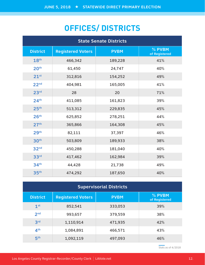# **OFFICES/ DISTRICTS**

| <b>State Senate Districts</b> |                          |             |                         |  |  |
|-------------------------------|--------------------------|-------------|-------------------------|--|--|
| <b>District</b>               | <b>Registered Voters</b> | <b>PVBM</b> | % PVBM<br>of Registered |  |  |
| 18th                          | 466,342                  | 189,228     | 41%                     |  |  |
| 20 <sup>th</sup>              | 61,450                   | 24,747      | 40%                     |  |  |
| 21 <sup>st</sup>              | 312,816                  | 154,252     | 49%                     |  |  |
| 22 <sup>nd</sup>              | 404,981                  | 165,005     | 41%                     |  |  |
| 23 <sup>rd</sup>              | 28                       | 20          | 71%                     |  |  |
| 24 <sup>th</sup>              | 411,085                  | 161,823     | 39%                     |  |  |
| 25 <sup>th</sup>              | 513,312                  | 229,835     | 45%                     |  |  |
| 26 <sup>th</sup>              | 625,852                  | 278,251     | 44%                     |  |  |
| 27 <sup>th</sup>              | 365,866                  | 164,308     | 45%                     |  |  |
| 29 <sup>th</sup>              | 82,111                   | 37,397      | 46%                     |  |  |
| 30 <sup>th</sup>              | 503,809                  | 189,933     | 38%                     |  |  |
| 32 <sup>nd</sup>              | 450,288                  | 181,040     | 40%                     |  |  |
| 33rd                          | 417,462                  | 162,984     | 39%                     |  |  |
| 34 <sup>th</sup>              | 44,428                   | 21,738      | 49%                     |  |  |
| 35 <sup>th</sup>              | 474,292                  | 187,650     | 40%                     |  |  |

| <b>Supervisorial Districts</b> |                          |             |                         |  |
|--------------------------------|--------------------------|-------------|-------------------------|--|
| <b>District</b>                | <b>Registered Voters</b> | <b>PVBM</b> | % PVBM<br>of Registered |  |
| 1 <sup>st</sup>                | 852,541                  | 333,053     | 39%                     |  |
| 2 <sub>nd</sub>                | 993,657                  | 379,559     | 38%                     |  |
| 3 <sup>rd</sup>                | 1,110,914                | 471,935     | 42%                     |  |
| 4 <sup>th</sup>                | 1,084,891                | 466,571     | 43%                     |  |
| 5 <sup>th</sup>                | 1,092,119                | 497,093     | 46%                     |  |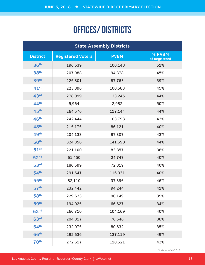# OFFICES/ DISTRICTS

| <b>State Assembly Districts</b> |                          |             |                         |  |  |
|---------------------------------|--------------------------|-------------|-------------------------|--|--|
| <b>District</b>                 | <b>Registered Voters</b> | <b>PVBM</b> | % PVBM<br>of Registered |  |  |
| 36 <sup>th</sup>                | 196,639                  | 100,148     | 51%                     |  |  |
| 38 <sup>th</sup>                | 207,988                  | 94,378      | 45%                     |  |  |
| 39 <sup>th</sup>                | 225,801                  | 87,763      | 39%                     |  |  |
| $41^{st}$                       | 223,896                  | 100,583     | 45%                     |  |  |
| 43 <sup>rd</sup>                | 278,099                  | 123,245     | 44%                     |  |  |
| 44 <sup>th</sup>                | 5,964                    | 2,982       | 50%                     |  |  |
| 45 <sup>th</sup>                | 264,576                  | 117,144     | 44%                     |  |  |
| 46 <sup>th</sup>                | 242,444                  | 103,793     | 43%                     |  |  |
| 48 <sup>th</sup>                | 215,175                  | 86,121      | 40%                     |  |  |
| 49th                            | 204,133                  | 87,307      | 43%                     |  |  |
| 50 <sup>th</sup>                | 324,356                  | 141,590     | 44%                     |  |  |
| $51^{st}$                       | 221,100                  | 83,857      | 38%                     |  |  |
| 52 <sup>nd</sup>                | 61,450                   | 24,747      | 40%                     |  |  |
| 53 <sup>rd</sup>                | 180,599                  | 72,819      | 40%                     |  |  |
| 54 <sup>th</sup>                | 291,647                  | 116,331     | 40%                     |  |  |
| 55 <sup>th</sup>                | 82,110                   | 37,396      | 46%                     |  |  |
| 57 <sup>th</sup>                | 232,442                  | 94,244      | 41%                     |  |  |
| 58 <sup>th</sup>                | 229,623                  | 90,149      | 39%                     |  |  |
| 59 <sup>th</sup>                | 194,025                  | 66,627      | 34%                     |  |  |
| 62 <sup>nd</sup>                | 260,710                  | 104,169     | 40%                     |  |  |
| 63 <sup>rd</sup>                | 204,017                  | 76,546      | 38%                     |  |  |
| 64 <sup>th</sup>                | 232,075                  | 80,632      | 35%                     |  |  |
| 66 <sup>th</sup>                | 282,636                  | 137,119     | 49%                     |  |  |
| 70 <sup>th</sup>                | 272,617                  | 118,521     | 43%                     |  |  |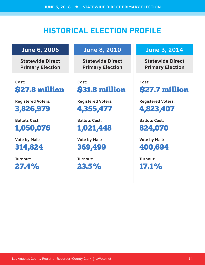# **HISTORICAL ELECTION PROFILE**

### **June 6, 2006**

**Statewide Direct Primary Election**

**Cost:**  \$27.8 million

**Registered Voters:** 

3,826,979

**Ballots Cast:**  1,050,076

**Vote by Mail:**  314,824

**Turnout:**  27.4%

### **June 8, 2010**

**Statewide Direct Primary Election**

**Cost:**  \$31.8 million

**Registered Voters:**  4,355,477

**Ballots Cast:**  1,021,448

**Vote by Mail:**  369,499

**Turnout:**  23.5%

### **June 3, 2014**

**Statewide Direct Primary Election**

**Cost:**  \$27.7 million

**Registered Voters:**  4,823,407

**Ballots Cast:**  824,070

**Vote by Mail:**  400,694

**Turnout:**  17.1%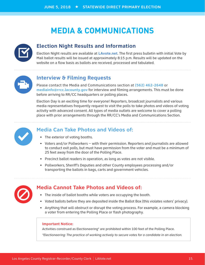# **MEDIA & COMMUNICATIONS**



#### **Election Night Results and Information**

Election Night results are available at **LAvote.net**. The first press bulletin with initial Vote by Mail ballot results will be issued at approximately 8:15 p.m. Results will be updated on the website on a flow basis as ballots are received, processed and tabulated.



#### **Interview & Filming Requests**

Please contact the Media and Communications section at **(562) 462-2648** or **mediainfo@rrcc.lacounty.gov** for interview and filming arrangements. This must be done before arriving to RR/CC headquarters or polling places.

Election Day is an exciting time for everyone! Reporters, broadcast journalists and various media representatives frequently request to visit the polls to take photos and videos of voting activity with advanced consent. All types of media outlets are welcome to cover a polling place with prior arrangements through the RR/CC's Media and Communications Section.



#### **Media Can Take Photos and Videos of:**

- The exterior of voting booths.
- Voters and/or Pollworkers with their permission. Reporters and journalists are allowed to conduct exit polls, but must have permission from the voter and must be a minimum of 25 feet away from the door of the Polling Place.
- Precinct ballot readers in operation, as long as votes are not visible.
- Pollworkers, Sheriff's Deputies and other County employees processing and/or transporting the ballots in bags, carts and government vehicles.



#### **Media Cannot Take Photos and Videos of:**

- The inside of ballot booths while voters are occupying the booth.
- Voted ballots before they are deposited inside the Ballot Box (this violates voters' privacy).
- Anything that will obstruct or disrupt the voting process. For example, a camera blocking a voter from entering the Polling Place or flash photography.

#### **Important Notice:**

Activities construed as Electioneering\* are prohibited within 100 feet of the Polling Place.

*\*Electioneering: The practice of working actively to secure votes for a candidate in an election.*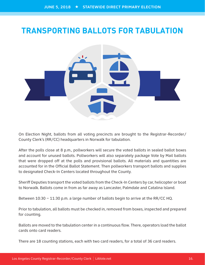# **TRANSPORTING BALLOTS FOR TABULATION**



On Election Night, ballots from all voting precincts are brought to the Registrar-Recorder/ County Clerk's (RR/CC) headquarters in Norwalk for tabulation.

After the polls close at 8 p.m., pollworkers will secure the voted ballots in sealed ballot boxes and account for unused ballots. Pollworkers will also separately package Vote by Mail ballots that were dropped off at the polls and provisional ballots. All materials and quantities are accounted for in the Official Ballot Statement. Then pollworkers transport ballots and supplies to designated Check-In Centers located throughout the County.

Sheriff Deputies transport the voted ballots from the Check-In Centers by car, helicopter or boat to Norwalk. Ballots come in from as far away as Lancaster, Palmdale and Catalina Island.

Between 10:30 – 11:30 p.m. a large number of ballots begin to arrive at the RR/CC HQ.

Prior to tabulation, all ballots must be checked in, removed from boxes, inspected and prepared for counting.

Ballots are moved to the tabulation center in a continuous flow. There, operators load the ballot cards onto card readers.

There are 18 counting stations, each with two card readers, for a total of 36 card readers.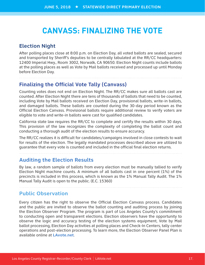### **CANVASS: FINALIZING THE VOTE**

#### **Election Night**

After polling places close at 8:00 p.m. on Election Day, all voted ballots are sealed, secured and transported by Sheriff's deputies to be centrally tabulated at the RR/CC headquarters: 12400 Imperial Hwy., Room 3002, Norwalk, CA 90650. Election Night counts include ballots at the polling places as well as Vote by Mail ballots received and processed up until Monday before Election Day.

#### **Finalizing the Official Vote Tally (Canvass)**

Counting votes does not end on Election Night. The RR/CC makes sure all ballots cast are counted. After Election Night there are tens of thousands of ballots that need to be counted, including Vote by Mail ballots received on Election Day, provisional ballots, write-in ballots, and damaged ballots. These ballots are counted during the 30-day period known as the Official Election Canvass. Provisional ballots require additional review to verify voters are eligible to vote and write-in ballots were cast for qualified candidates.

California state law requires the RR/CC to complete and certify the results within 30 days. This provision of the law recognizes the complexity of completing the ballot count and conducting a thorough audit of the election results to ensure accuracy.

The RR/CC realizes it is difficult for candidates/campaigns involved in close contests to wait for results of the election. The legally mandated processes described above are utilized to guarantee that every vote is counted and included in the official final election returns.

#### **Auditing the Election Results**

By law, a random sample of ballots from every election must be manually tallied to verify Election Night machine counts. A minimum of all ballots cast in one percent (1%) of the precincts is included in this process, which is known as the 1% Manual Tally Audit. The 1% Manual Tally Audit is open to the public. (E.C. 15360)

**Public Observation**

Every citizen has the right to observe the Official Election Canvass process. Candidates and the public are invited to observe the ballot counting and auditing process by joining the Election Observer Program. The program is part of Los Angeles County's commitment to conducting open and transparent elections. Election observers have the opportunity to observe the logic and accuracy testing of the election systems equipment, Vote by Mail ballot processing, Election Day activities at polling places and Check-In Centers, tally center operations and post-election processing. To learn more, the Election Observer Panel Plan is available online at **LAvote.net**.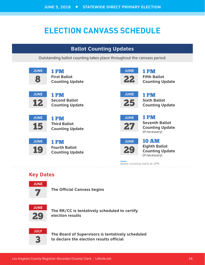# **ELECTION CANVASS SCHEDULE**

### **Ballot Counting Updates**

Outstanding ballot counting takes place throughout the canvass period.



### **Key Dates**



**The Official Canvass begins**



**The RR/CC is tentatively scheduled to certify election results**



**The Board of Supervisors is tentatively scheduled to declare the election results official**